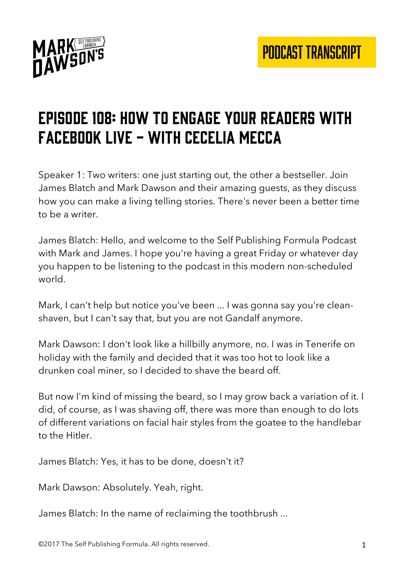

## Episode 108: How to engage your readers with facebook live - with cecelia mecca

Speaker 1: Two writers: one just starting out, the other a bestseller. Join James Blatch and Mark Dawson and their amazing guests, as they discuss how you can make a living telling stories. There's never been a better time to be a writer.

James Blatch: Hello, and welcome to the Self Publishing Formula Podcast with Mark and James. I hope you're having a great Friday or whatever day you happen to be listening to the podcast in this modern non-scheduled world.

Mark, I can't help but notice you've been ... I was gonna say you're cleanshaven, but I can't say that, but you are not Gandalf anymore.

Mark Dawson: I don't look like a hillbilly anymore, no. I was in Tenerife on holiday with the family and decided that it was too hot to look like a drunken coal miner, so I decided to shave the beard off.

But now I'm kind of missing the beard, so I may grow back a variation of it. I did, of course, as I was shaving off, there was more than enough to do lots of different variations on facial hair styles from the goatee to the handlebar to the Hitler.

James Blatch: Yes, it has to be done, doesn't it?

Mark Dawson: Absolutely. Yeah, right.

James Blatch: In the name of reclaiming the toothbrush ...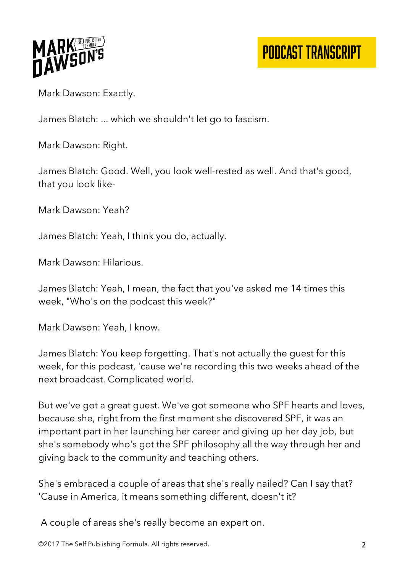

# PODCAST TRANSCRIPT

Mark Dawson: Exactly.

James Blatch: ... which we shouldn't let go to fascism.

Mark Dawson: Right.

James Blatch: Good. Well, you look well-rested as well. And that's good, that you look like-

Mark Dawson: Yeah?

James Blatch: Yeah, I think you do, actually.

Mark Dawson: Hilarious.

James Blatch: Yeah, I mean, the fact that you've asked me 14 times this week, "Who's on the podcast this week?"

Mark Dawson: Yeah, I know.

James Blatch: You keep forgetting. That's not actually the guest for this week, for this podcast, 'cause we're recording this two weeks ahead of the next broadcast. Complicated world.

But we've got a great guest. We've got someone who SPF hearts and loves, because she, right from the first moment she discovered SPF, it was an important part in her launching her career and giving up her day job, but she's somebody who's got the SPF philosophy all the way through her and giving back to the community and teaching others.

She's embraced a couple of areas that she's really nailed? Can I say that? 'Cause in America, it means something different, doesn't it?

A couple of areas she's really become an expert on.

©2017 The Self Publishing Formula. All rights reserved. 2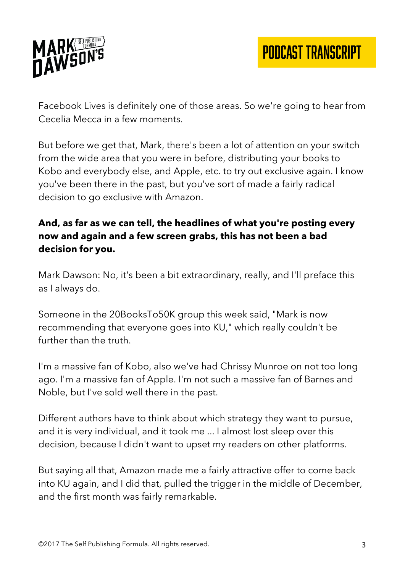

Facebook Lives is definitely one of those areas. So we're going to hear from Cecelia Mecca in a few moments.

But before we get that, Mark, there's been a lot of attention on your switch from the wide area that you were in before, distributing your books to Kobo and everybody else, and Apple, etc. to try out exclusive again. I know you've been there in the past, but you've sort of made a fairly radical decision to go exclusive with Amazon.

## **And, as far as we can tell, the headlines of what you're posting every now and again and a few screen grabs, this has not been a bad decision for you.**

Mark Dawson: No, it's been a bit extraordinary, really, and I'll preface this as I always do.

Someone in the 20BooksTo50K group this week said, "Mark is now recommending that everyone goes into KU," which really couldn't be further than the truth.

I'm a massive fan of Kobo, also we've had Chrissy Munroe on not too long ago. I'm a massive fan of Apple. I'm not such a massive fan of Barnes and Noble, but I've sold well there in the past.

Different authors have to think about which strategy they want to pursue, and it is very individual, and it took me ... I almost lost sleep over this decision, because I didn't want to upset my readers on other platforms.

But saying all that, Amazon made me a fairly attractive offer to come back into KU again, and I did that, pulled the trigger in the middle of December, and the first month was fairly remarkable.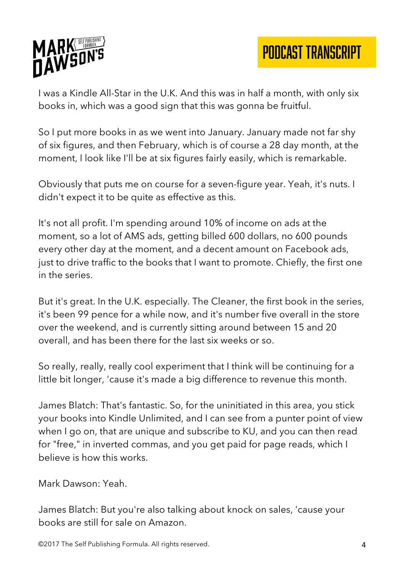

I was a Kindle All-Star in the U.K. And this was in half a month, with only six books in, which was a good sign that this was gonna be fruitful.

So I put more books in as we went into January. January made not far shy of six figures, and then February, which is of course a 28 day month, at the moment, I look like I'll be at six figures fairly easily, which is remarkable.

Obviously that puts me on course for a seven-figure year. Yeah, it's nuts. I didn't expect it to be quite as effective as this.

It's not all profit. I'm spending around 10% of income on ads at the moment, so a lot of AMS ads, getting billed 600 dollars, no 600 pounds every other day at the moment, and a decent amount on Facebook ads, just to drive traffic to the books that I want to promote. Chiefly, the first one in the series.

But it's great. In the U.K. especially. The Cleaner, the first book in the series, it's been 99 pence for a while now, and it's number five overall in the store over the weekend, and is currently sitting around between 15 and 20 overall, and has been there for the last six weeks or so.

So really, really, really cool experiment that I think will be continuing for a little bit longer, 'cause it's made a big difference to revenue this month.

James Blatch: That's fantastic. So, for the uninitiated in this area, you stick your books into Kindle Unlimited, and I can see from a punter point of view when I go on, that are unique and subscribe to KU, and you can then read for "free," in inverted commas, and you get paid for page reads, which I believe is how this works.

Mark Dawson: Yeah.

James Blatch: But you're also talking about knock on sales, 'cause your books are still for sale on Amazon.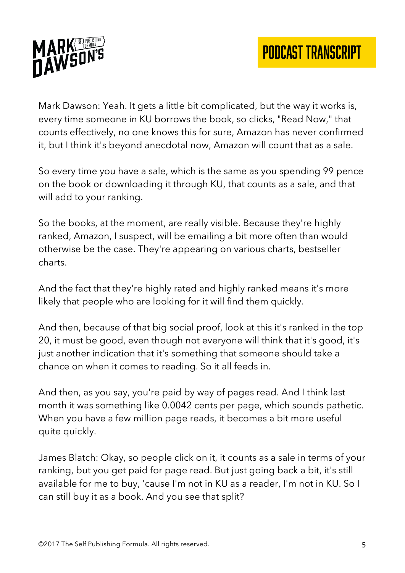

Mark Dawson: Yeah. It gets a little bit complicated, but the way it works is, every time someone in KU borrows the book, so clicks, "Read Now," that counts effectively, no one knows this for sure, Amazon has never confirmed it, but I think it's beyond anecdotal now, Amazon will count that as a sale.

So every time you have a sale, which is the same as you spending 99 pence on the book or downloading it through KU, that counts as a sale, and that will add to your ranking.

So the books, at the moment, are really visible. Because they're highly ranked, Amazon, I suspect, will be emailing a bit more often than would otherwise be the case. They're appearing on various charts, bestseller charts.

And the fact that they're highly rated and highly ranked means it's more likely that people who are looking for it will find them quickly.

And then, because of that big social proof, look at this it's ranked in the top 20, it must be good, even though not everyone will think that it's good, it's just another indication that it's something that someone should take a chance on when it comes to reading. So it all feeds in.

And then, as you say, you're paid by way of pages read. And I think last month it was something like 0.0042 cents per page, which sounds pathetic. When you have a few million page reads, it becomes a bit more useful quite quickly.

James Blatch: Okay, so people click on it, it counts as a sale in terms of your ranking, but you get paid for page read. But just going back a bit, it's still available for me to buy, 'cause I'm not in KU as a reader, I'm not in KU. So I can still buy it as a book. And you see that split?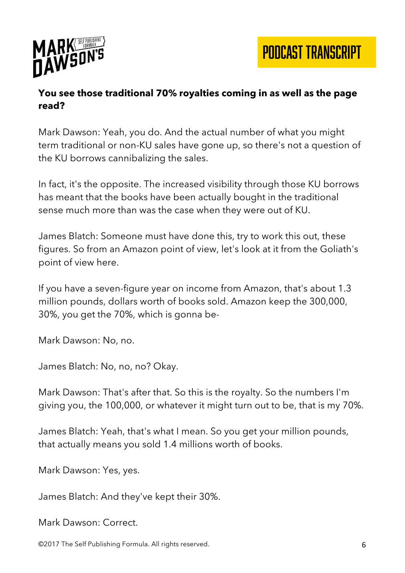

#### **You see those traditional 70% royalties coming in as well as the page read?**

Mark Dawson: Yeah, you do. And the actual number of what you might term traditional or non-KU sales have gone up, so there's not a question of the KU borrows cannibalizing the sales.

In fact, it's the opposite. The increased visibility through those KU borrows has meant that the books have been actually bought in the traditional sense much more than was the case when they were out of KU.

James Blatch: Someone must have done this, try to work this out, these figures. So from an Amazon point of view, let's look at it from the Goliath's point of view here.

If you have a seven-figure year on income from Amazon, that's about 1.3 million pounds, dollars worth of books sold. Amazon keep the 300,000, 30%, you get the 70%, which is gonna be-

Mark Dawson: No, no.

James Blatch: No, no, no? Okay.

Mark Dawson: That's after that. So this is the royalty. So the numbers I'm giving you, the 100,000, or whatever it might turn out to be, that is my 70%.

James Blatch: Yeah, that's what I mean. So you get your million pounds, that actually means you sold 1.4 millions worth of books.

Mark Dawson: Yes, yes.

James Blatch: And they've kept their 30%.

Mark Dawson: Correct.

©2017 The Self Publishing Formula. All rights reserved. 6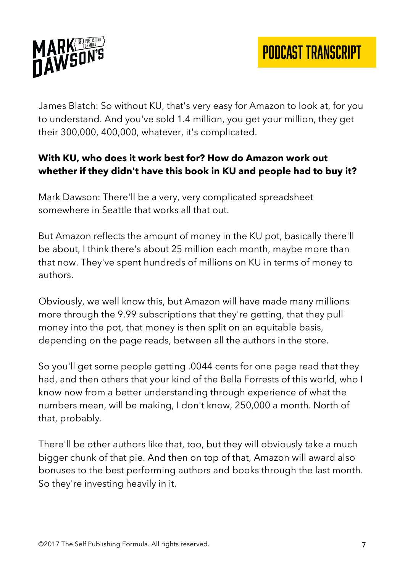

James Blatch: So without KU, that's very easy for Amazon to look at, for you to understand. And you've sold 1.4 million, you get your million, they get their 300,000, 400,000, whatever, it's complicated.

## **With KU, who does it work best for? How do Amazon work out whether if they didn't have this book in KU and people had to buy it?**

Mark Dawson: There'll be a very, very complicated spreadsheet somewhere in Seattle that works all that out.

But Amazon reflects the amount of money in the KU pot, basically there'll be about, I think there's about 25 million each month, maybe more than that now. They've spent hundreds of millions on KU in terms of money to authors.

Obviously, we well know this, but Amazon will have made many millions more through the 9.99 subscriptions that they're getting, that they pull money into the pot, that money is then split on an equitable basis, depending on the page reads, between all the authors in the store.

So you'll get some people getting .0044 cents for one page read that they had, and then others that your kind of the Bella Forrests of this world, who I know now from a better understanding through experience of what the numbers mean, will be making, I don't know, 250,000 a month. North of that, probably.

There'll be other authors like that, too, but they will obviously take a much bigger chunk of that pie. And then on top of that, Amazon will award also bonuses to the best performing authors and books through the last month. So they're investing heavily in it.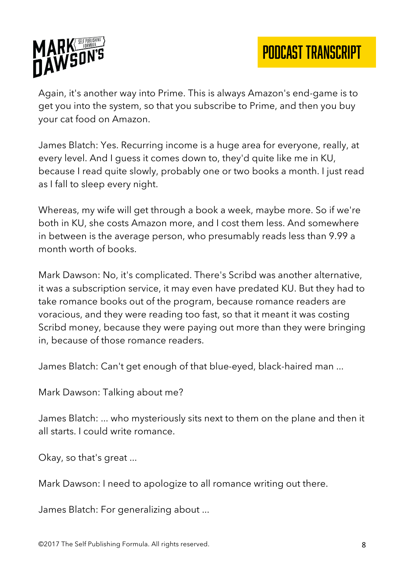

Again, it's another way into Prime. This is always Amazon's end-game is to get you into the system, so that you subscribe to Prime, and then you buy your cat food on Amazon.

James Blatch: Yes. Recurring income is a huge area for everyone, really, at every level. And I guess it comes down to, they'd quite like me in KU, because I read quite slowly, probably one or two books a month. I just read as I fall to sleep every night.

Whereas, my wife will get through a book a week, maybe more. So if we're both in KU, she costs Amazon more, and I cost them less. And somewhere in between is the average person, who presumably reads less than 9.99 a month worth of books.

Mark Dawson: No, it's complicated. There's Scribd was another alternative, it was a subscription service, it may even have predated KU. But they had to take romance books out of the program, because romance readers are voracious, and they were reading too fast, so that it meant it was costing Scribd money, because they were paying out more than they were bringing in, because of those romance readers.

James Blatch: Can't get enough of that blue-eyed, black-haired man ...

Mark Dawson: Talking about me?

James Blatch: ... who mysteriously sits next to them on the plane and then it all starts. I could write romance.

Okay, so that's great ...

Mark Dawson: I need to apologize to all romance writing out there.

James Blatch: For generalizing about ...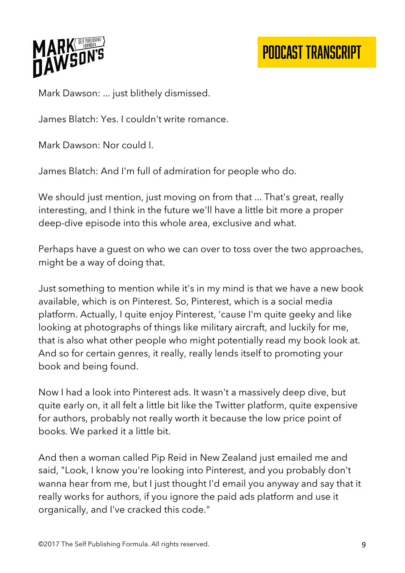

# PODCAST TRANSCRIPT

Mark Dawson: ... just blithely dismissed.

James Blatch: Yes. I couldn't write romance.

Mark Dawson: Nor could I.

James Blatch: And I'm full of admiration for people who do.

We should just mention, just moving on from that ... That's great, really interesting, and I think in the future we'll have a little bit more a proper deep-dive episode into this whole area, exclusive and what.

Perhaps have a guest on who we can over to toss over the two approaches, might be a way of doing that.

Just something to mention while it's in my mind is that we have a new book available, which is on Pinterest. So, Pinterest, which is a social media platform. Actually, I quite enjoy Pinterest, 'cause I'm quite geeky and like looking at photographs of things like military aircraft, and luckily for me, that is also what other people who might potentially read my book look at. And so for certain genres, it really, really lends itself to promoting your book and being found.

Now I had a look into Pinterest ads. It wasn't a massively deep dive, but quite early on, it all felt a little bit like the Twitter platform, quite expensive for authors, probably not really worth it because the low price point of books. We parked it a little bit.

And then a woman called Pip Reid in New Zealand just emailed me and said, "Look, I know you're looking into Pinterest, and you probably don't wanna hear from me, but I just thought I'd email you anyway and say that it really works for authors, if you ignore the paid ads platform and use it organically, and I've cracked this code."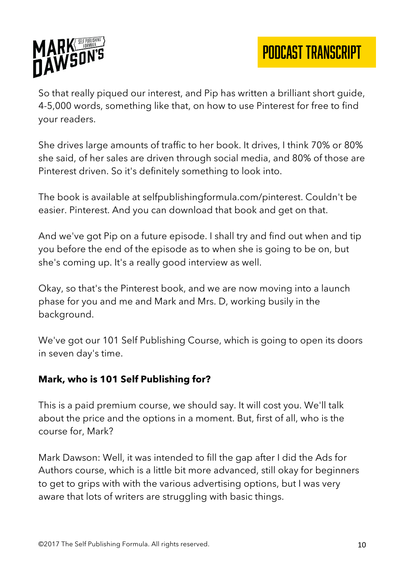

So that really piqued our interest, and Pip has written a brilliant short guide, 4-5,000 words, something like that, on how to use Pinterest for free to find your readers.

She drives large amounts of traffic to her book. It drives, I think 70% or 80% she said, of her sales are driven through social media, and 80% of those are Pinterest driven. So it's definitely something to look into.

The book is available at selfpublishingformula.com/pinterest. Couldn't be easier. Pinterest. And you can download that book and get on that.

And we've got Pip on a future episode. I shall try and find out when and tip you before the end of the episode as to when she is going to be on, but she's coming up. It's a really good interview as well.

Okay, so that's the Pinterest book, and we are now moving into a launch phase for you and me and Mark and Mrs. D, working busily in the background.

We've got our 101 Self Publishing Course, which is going to open its doors in seven day's time.

#### **Mark, who is 101 Self Publishing for?**

This is a paid premium course, we should say. It will cost you. We'll talk about the price and the options in a moment. But, first of all, who is the course for, Mark?

Mark Dawson: Well, it was intended to fill the gap after I did the Ads for Authors course, which is a little bit more advanced, still okay for beginners to get to grips with with the various advertising options, but I was very aware that lots of writers are struggling with basic things.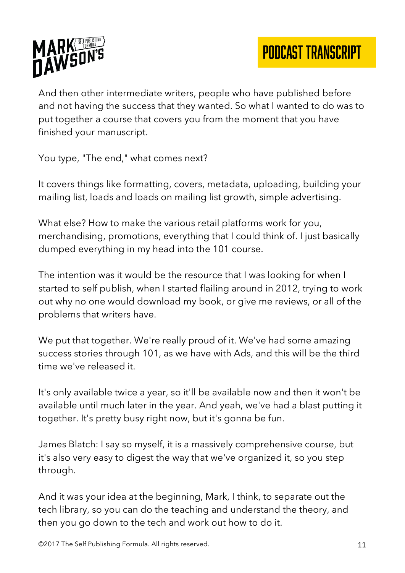

And then other intermediate writers, people who have published before and not having the success that they wanted. So what I wanted to do was to put together a course that covers you from the moment that you have finished your manuscript.

You type, "The end," what comes next?

It covers things like formatting, covers, metadata, uploading, building your mailing list, loads and loads on mailing list growth, simple advertising.

What else? How to make the various retail platforms work for you, merchandising, promotions, everything that I could think of. I just basically dumped everything in my head into the 101 course.

The intention was it would be the resource that I was looking for when I started to self publish, when I started flailing around in 2012, trying to work out why no one would download my book, or give me reviews, or all of the problems that writers have.

We put that together. We're really proud of it. We've had some amazing success stories through 101, as we have with Ads, and this will be the third time we've released it.

It's only available twice a year, so it'll be available now and then it won't be available until much later in the year. And yeah, we've had a blast putting it together. It's pretty busy right now, but it's gonna be fun.

James Blatch: I say so myself, it is a massively comprehensive course, but it's also very easy to digest the way that we've organized it, so you step through.

And it was your idea at the beginning, Mark, I think, to separate out the tech library, so you can do the teaching and understand the theory, and then you go down to the tech and work out how to do it.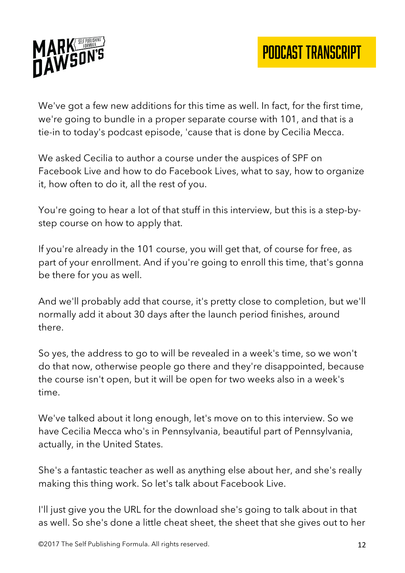

We've got a few new additions for this time as well. In fact, for the first time, we're going to bundle in a proper separate course with 101, and that is a tie-in to today's podcast episode, 'cause that is done by Cecilia Mecca.

We asked Cecilia to author a course under the auspices of SPF on Facebook Live and how to do Facebook Lives, what to say, how to organize it, how often to do it, all the rest of you.

You're going to hear a lot of that stuff in this interview, but this is a step-bystep course on how to apply that.

If you're already in the 101 course, you will get that, of course for free, as part of your enrollment. And if you're going to enroll this time, that's gonna be there for you as well.

And we'll probably add that course, it's pretty close to completion, but we'll normally add it about 30 days after the launch period finishes, around there.

So yes, the address to go to will be revealed in a week's time, so we won't do that now, otherwise people go there and they're disappointed, because the course isn't open, but it will be open for two weeks also in a week's time.

We've talked about it long enough, let's move on to this interview. So we have Cecilia Mecca who's in Pennsylvania, beautiful part of Pennsylvania, actually, in the United States.

She's a fantastic teacher as well as anything else about her, and she's really making this thing work. So let's talk about Facebook Live.

I'll just give you the URL for the download she's going to talk about in that as well. So she's done a little cheat sheet, the sheet that she gives out to her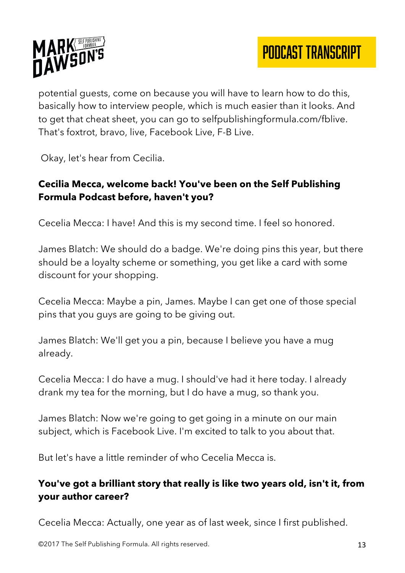

potential guests, come on because you will have to learn how to do this, basically how to interview people, which is much easier than it looks. And to get that cheat sheet, you can go to selfpublishingformula.com/fblive. That's foxtrot, bravo, live, Facebook Live, F-B Live.

Okay, let's hear from Cecilia.

## **Cecilia Mecca, welcome back! You've been on the Self Publishing Formula Podcast before, haven't you?**

Cecelia Mecca: I have! And this is my second time. I feel so honored.

James Blatch: We should do a badge. We're doing pins this year, but there should be a loyalty scheme or something, you get like a card with some discount for your shopping.

Cecelia Mecca: Maybe a pin, James. Maybe I can get one of those special pins that you guys are going to be giving out.

James Blatch: We'll get you a pin, because I believe you have a mug already.

Cecelia Mecca: I do have a mug. I should've had it here today. I already drank my tea for the morning, but I do have a mug, so thank you.

James Blatch: Now we're going to get going in a minute on our main subject, which is Facebook Live. I'm excited to talk to you about that.

But let's have a little reminder of who Cecelia Mecca is.

### **You've got a brilliant story that really is like two years old, isn't it, from your author career?**

Cecelia Mecca: Actually, one year as of last week, since I first published.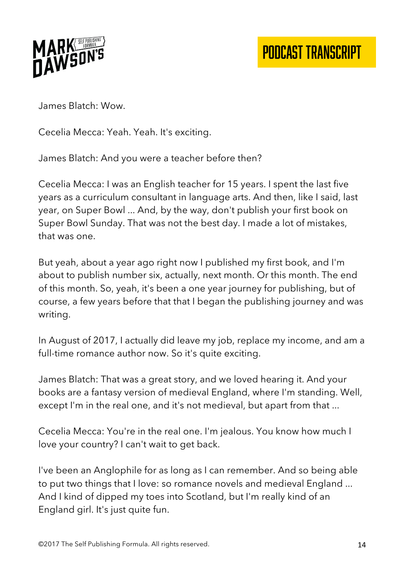

James Blatch: Wow.

Cecelia Mecca: Yeah. Yeah. It's exciting.

James Blatch: And you were a teacher before then?

Cecelia Mecca: I was an English teacher for 15 years. I spent the last five years as a curriculum consultant in language arts. And then, like I said, last year, on Super Bowl ... And, by the way, don't publish your first book on Super Bowl Sunday. That was not the best day. I made a lot of mistakes, that was one.

But yeah, about a year ago right now I published my first book, and I'm about to publish number six, actually, next month. Or this month. The end of this month. So, yeah, it's been a one year journey for publishing, but of course, a few years before that that I began the publishing journey and was writing.

In August of 2017, I actually did leave my job, replace my income, and am a full-time romance author now. So it's quite exciting.

James Blatch: That was a great story, and we loved hearing it. And your books are a fantasy version of medieval England, where I'm standing. Well, except I'm in the real one, and it's not medieval, but apart from that ...

Cecelia Mecca: You're in the real one. I'm jealous. You know how much I love your country? I can't wait to get back.

I've been an Anglophile for as long as I can remember. And so being able to put two things that I love: so romance novels and medieval England ... And I kind of dipped my toes into Scotland, but I'm really kind of an England girl. It's just quite fun.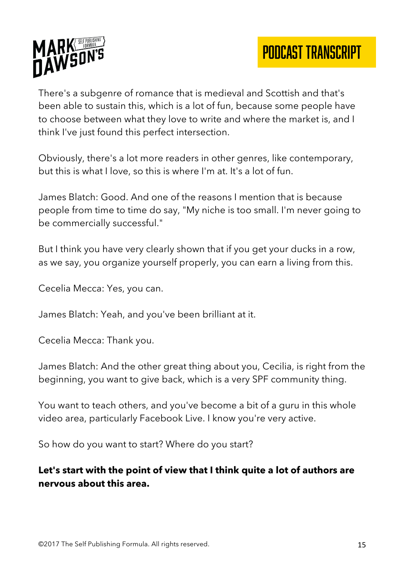

There's a subgenre of romance that is medieval and Scottish and that's been able to sustain this, which is a lot of fun, because some people have to choose between what they love to write and where the market is, and I think I've just found this perfect intersection.

Obviously, there's a lot more readers in other genres, like contemporary, but this is what I love, so this is where I'm at. It's a lot of fun.

James Blatch: Good. And one of the reasons I mention that is because people from time to time do say, "My niche is too small. I'm never going to be commercially successful."

But I think you have very clearly shown that if you get your ducks in a row, as we say, you organize yourself properly, you can earn a living from this.

Cecelia Mecca: Yes, you can.

James Blatch: Yeah, and you've been brilliant at it.

Cecelia Mecca: Thank you.

James Blatch: And the other great thing about you, Cecilia, is right from the beginning, you want to give back, which is a very SPF community thing.

You want to teach others, and you've become a bit of a guru in this whole video area, particularly Facebook Live. I know you're very active.

So how do you want to start? Where do you start?

## **Let's start with the point of view that I think quite a lot of authors are nervous about this area.**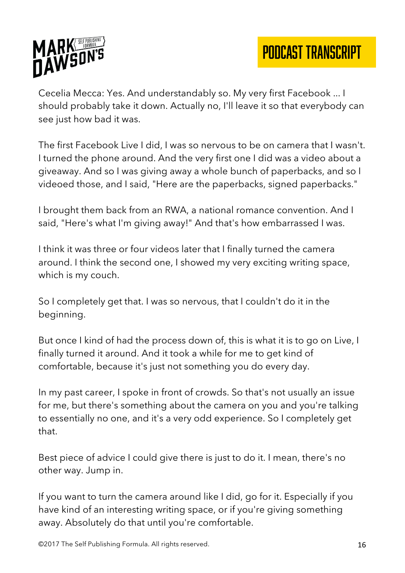

Cecelia Mecca: Yes. And understandably so. My very first Facebook ... I should probably take it down. Actually no, I'll leave it so that everybody can see just how bad it was.

The first Facebook Live I did, I was so nervous to be on camera that I wasn't. I turned the phone around. And the very first one I did was a video about a giveaway. And so I was giving away a whole bunch of paperbacks, and so I videoed those, and I said, "Here are the paperbacks, signed paperbacks."

I brought them back from an RWA, a national romance convention. And I said, "Here's what I'm giving away!" And that's how embarrassed I was.

I think it was three or four videos later that I finally turned the camera around. I think the second one, I showed my very exciting writing space, which is my couch.

So I completely get that. I was so nervous, that I couldn't do it in the beginning.

But once I kind of had the process down of, this is what it is to go on Live, I finally turned it around. And it took a while for me to get kind of comfortable, because it's just not something you do every day.

In my past career, I spoke in front of crowds. So that's not usually an issue for me, but there's something about the camera on you and you're talking to essentially no one, and it's a very odd experience. So I completely get that.

Best piece of advice I could give there is just to do it. I mean, there's no other way. Jump in.

If you want to turn the camera around like I did, go for it. Especially if you have kind of an interesting writing space, or if you're giving something away. Absolutely do that until you're comfortable.

©2017 The Self Publishing Formula. All rights reserved. 16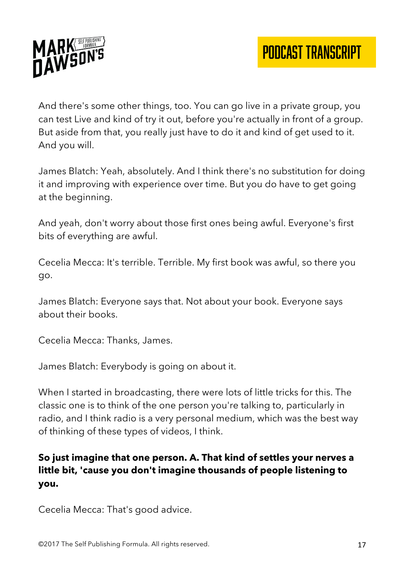

And there's some other things, too. You can go live in a private group, you can test Live and kind of try it out, before you're actually in front of a group. But aside from that, you really just have to do it and kind of get used to it. And you will.

James Blatch: Yeah, absolutely. And I think there's no substitution for doing it and improving with experience over time. But you do have to get going at the beginning.

And yeah, don't worry about those first ones being awful. Everyone's first bits of everything are awful.

Cecelia Mecca: It's terrible. Terrible. My first book was awful, so there you go.

James Blatch: Everyone says that. Not about your book. Everyone says about their books.

Cecelia Mecca: Thanks, James.

James Blatch: Everybody is going on about it.

When I started in broadcasting, there were lots of little tricks for this. The classic one is to think of the one person you're talking to, particularly in radio, and I think radio is a very personal medium, which was the best way of thinking of these types of videos, I think.

## **So just imagine that one person. A. That kind of settles your nerves a little bit, 'cause you don't imagine thousands of people listening to you.**

Cecelia Mecca: That's good advice.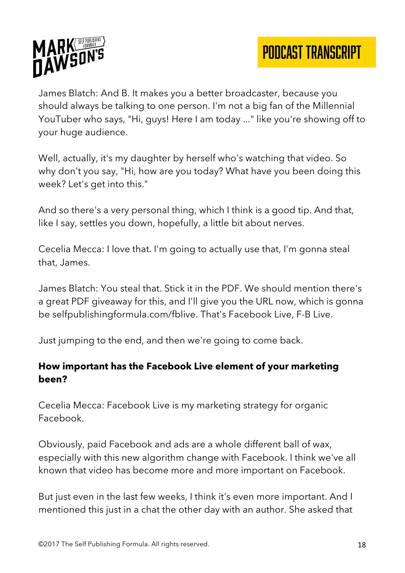

James Blatch: And B. It makes you a better broadcaster, because you should always be talking to one person. I'm not a big fan of the Millennial YouTuber who says, "Hi, guys! Here I am today ..." like you're showing off to your huge audience.

Well, actually, it's my daughter by herself who's watching that video. So why don't you say, "Hi, how are you today? What have you been doing this week? Let's get into this."

And so there's a very personal thing, which I think is a good tip. And that, like I say, settles you down, hopefully, a little bit about nerves.

Cecelia Mecca: I love that. I'm going to actually use that, I'm gonna steal that, James.

James Blatch: You steal that. Stick it in the PDF. We should mention there's a great PDF giveaway for this, and I'll give you the URL now, which is gonna be selfpublishingformula.com/fblive. That's Facebook Live, F-B Live.

Just jumping to the end, and then we're going to come back.

#### **How important has the Facebook Live element of your marketing been?**

Cecelia Mecca: Facebook Live is my marketing strategy for organic Facebook.

Obviously, paid Facebook and ads are a whole different ball of wax, especially with this new algorithm change with Facebook. I think we've all known that video has become more and more important on Facebook.

But just even in the last few weeks, I think it's even more important. And I mentioned this just in a chat the other day with an author. She asked that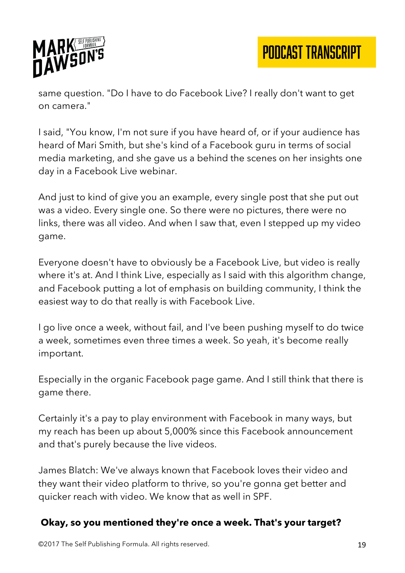

same question. "Do I have to do Facebook Live? I really don't want to get on camera."

I said, "You know, I'm not sure if you have heard of, or if your audience has heard of Mari Smith, but she's kind of a Facebook guru in terms of social media marketing, and she gave us a behind the scenes on her insights one day in a Facebook Live webinar.

And just to kind of give you an example, every single post that she put out was a video. Every single one. So there were no pictures, there were no links, there was all video. And when I saw that, even I stepped up my video game.

Everyone doesn't have to obviously be a Facebook Live, but video is really where it's at. And I think Live, especially as I said with this algorithm change, and Facebook putting a lot of emphasis on building community, I think the easiest way to do that really is with Facebook Live.

I go live once a week, without fail, and I've been pushing myself to do twice a week, sometimes even three times a week. So yeah, it's become really important.

Especially in the organic Facebook page game. And I still think that there is game there.

Certainly it's a pay to play environment with Facebook in many ways, but my reach has been up about 5,000% since this Facebook announcement and that's purely because the live videos.

James Blatch: We've always known that Facebook loves their video and they want their video platform to thrive, so you're gonna get better and quicker reach with video. We know that as well in SPF.

## **Okay, so you mentioned they're once a week. That's your target?**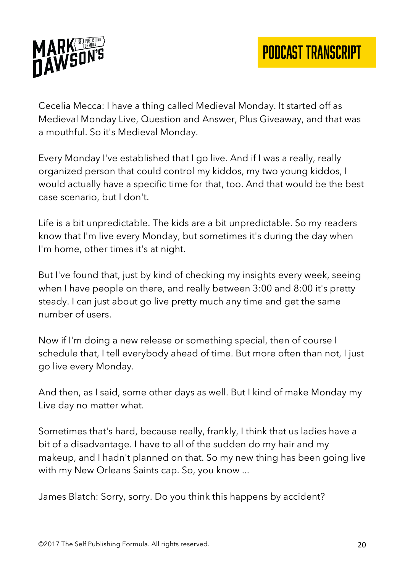

Cecelia Mecca: I have a thing called Medieval Monday. It started off as Medieval Monday Live, Question and Answer, Plus Giveaway, and that was a mouthful. So it's Medieval Monday.

Every Monday I've established that I go live. And if I was a really, really organized person that could control my kiddos, my two young kiddos, I would actually have a specific time for that, too. And that would be the best case scenario, but I don't.

Life is a bit unpredictable. The kids are a bit unpredictable. So my readers know that I'm live every Monday, but sometimes it's during the day when I'm home, other times it's at night.

But I've found that, just by kind of checking my insights every week, seeing when I have people on there, and really between 3:00 and 8:00 it's pretty steady. I can just about go live pretty much any time and get the same number of users.

Now if I'm doing a new release or something special, then of course I schedule that, I tell everybody ahead of time. But more often than not, I just go live every Monday.

And then, as I said, some other days as well. But I kind of make Monday my Live day no matter what.

Sometimes that's hard, because really, frankly, I think that us ladies have a bit of a disadvantage. I have to all of the sudden do my hair and my makeup, and I hadn't planned on that. So my new thing has been going live with my New Orleans Saints cap. So, you know ...

James Blatch: Sorry, sorry. Do you think this happens by accident?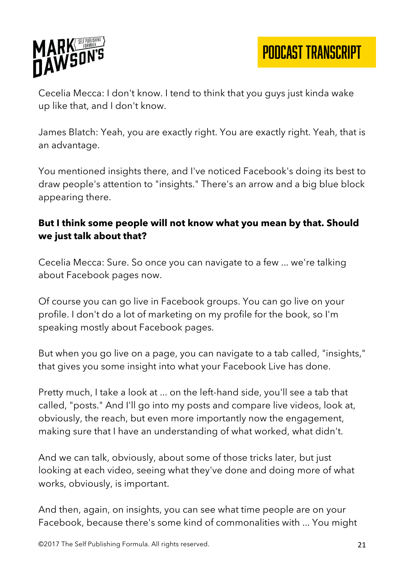

PODCAST TRANSCRIPT

Cecelia Mecca: I don't know. I tend to think that you guys just kinda wake up like that, and I don't know.

James Blatch: Yeah, you are exactly right. You are exactly right. Yeah, that is an advantage.

You mentioned insights there, and I've noticed Facebook's doing its best to draw people's attention to "insights." There's an arrow and a big blue block appearing there.

#### **But I think some people will not know what you mean by that. Should we just talk about that?**

Cecelia Mecca: Sure. So once you can navigate to a few ... we're talking about Facebook pages now.

Of course you can go live in Facebook groups. You can go live on your profile. I don't do a lot of marketing on my profile for the book, so I'm speaking mostly about Facebook pages.

But when you go live on a page, you can navigate to a tab called, "insights," that gives you some insight into what your Facebook Live has done.

Pretty much, I take a look at ... on the left-hand side, you'll see a tab that called, "posts." And I'll go into my posts and compare live videos, look at, obviously, the reach, but even more importantly now the engagement, making sure that I have an understanding of what worked, what didn't.

And we can talk, obviously, about some of those tricks later, but just looking at each video, seeing what they've done and doing more of what works, obviously, is important.

And then, again, on insights, you can see what time people are on your Facebook, because there's some kind of commonalities with ... You might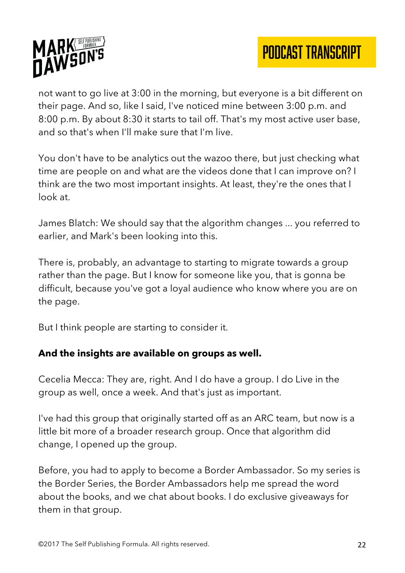



not want to go live at 3:00 in the morning, but everyone is a bit different on their page. And so, like I said, I've noticed mine between 3:00 p.m. and 8:00 p.m. By about 8:30 it starts to tail off. That's my most active user base, and so that's when I'll make sure that I'm live.

You don't have to be analytics out the wazoo there, but just checking what time are people on and what are the videos done that I can improve on? I think are the two most important insights. At least, they're the ones that I look at.

James Blatch: We should say that the algorithm changes ... you referred to earlier, and Mark's been looking into this.

There is, probably, an advantage to starting to migrate towards a group rather than the page. But I know for someone like you, that is gonna be difficult, because you've got a loyal audience who know where you are on the page.

But I think people are starting to consider it.

#### **And the insights are available on groups as well.**

Cecelia Mecca: They are, right. And I do have a group. I do Live in the group as well, once a week. And that's just as important.

I've had this group that originally started off as an ARC team, but now is a little bit more of a broader research group. Once that algorithm did change, I opened up the group.

Before, you had to apply to become a Border Ambassador. So my series is the Border Series, the Border Ambassadors help me spread the word about the books, and we chat about books. I do exclusive giveaways for them in that group.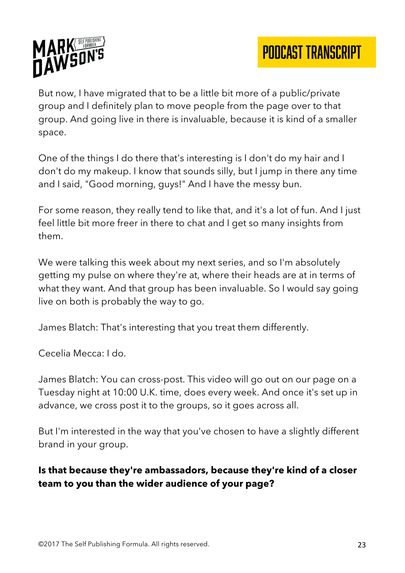

But now, I have migrated that to be a little bit more of a public/private group and I definitely plan to move people from the page over to that group. And going live in there is invaluable, because it is kind of a smaller space.

One of the things I do there that's interesting is I don't do my hair and I don't do my makeup. I know that sounds silly, but I jump in there any time and I said, "Good morning, guys!" And I have the messy bun.

For some reason, they really tend to like that, and it's a lot of fun. And I just feel little bit more freer in there to chat and I get so many insights from them.

We were talking this week about my next series, and so I'm absolutely getting my pulse on where they're at, where their heads are at in terms of what they want. And that group has been invaluable. So I would say going live on both is probably the way to go.

James Blatch: That's interesting that you treat them differently.

Cecelia Mecca: I do.

James Blatch: You can cross-post. This video will go out on our page on a Tuesday night at 10:00 U.K. time, does every week. And once it's set up in advance, we cross post it to the groups, so it goes across all.

But I'm interested in the way that you've chosen to have a slightly different brand in your group.

## **Is that because they're ambassadors, because they're kind of a closer team to you than the wider audience of your page?**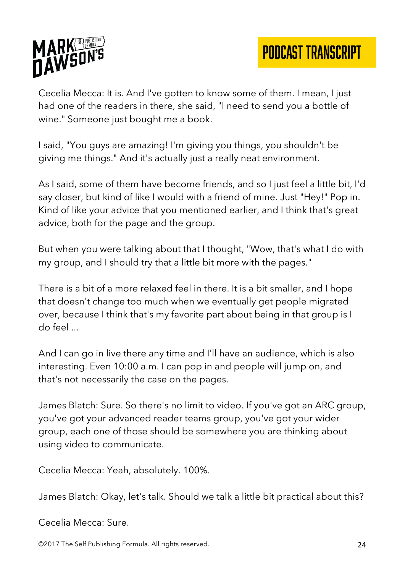



Cecelia Mecca: It is. And I've gotten to know some of them. I mean, I just had one of the readers in there, she said, "I need to send you a bottle of wine." Someone just bought me a book.

I said, "You guys are amazing! I'm giving you things, you shouldn't be giving me things." And it's actually just a really neat environment.

As I said, some of them have become friends, and so I just feel a little bit, I'd say closer, but kind of like I would with a friend of mine. Just "Hey!" Pop in. Kind of like your advice that you mentioned earlier, and I think that's great advice, both for the page and the group.

But when you were talking about that I thought, "Wow, that's what I do with my group, and I should try that a little bit more with the pages."

There is a bit of a more relaxed feel in there. It is a bit smaller, and I hope that doesn't change too much when we eventually get people migrated over, because I think that's my favorite part about being in that group is I do feel ...

And I can go in live there any time and I'll have an audience, which is also interesting. Even 10:00 a.m. I can pop in and people will jump on, and that's not necessarily the case on the pages.

James Blatch: Sure. So there's no limit to video. If you've got an ARC group, you've got your advanced reader teams group, you've got your wider group, each one of those should be somewhere you are thinking about using video to communicate.

Cecelia Mecca: Yeah, absolutely. 100%.

James Blatch: Okay, let's talk. Should we talk a little bit practical about this?

Cecelia Mecca: Sure.

©2017 The Self Publishing Formula. All rights reserved. 24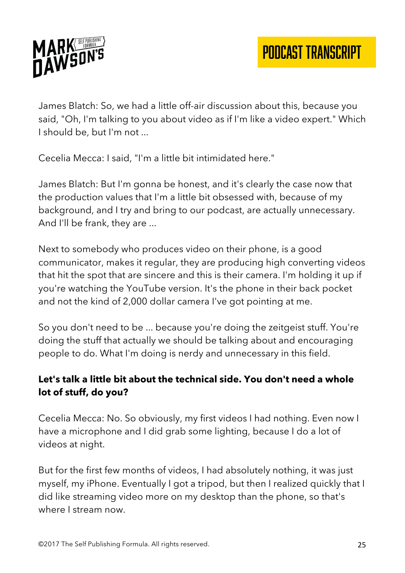

James Blatch: So, we had a little off-air discussion about this, because you said, "Oh, I'm talking to you about video as if I'm like a video expert." Which I should be, but I'm not ...

Cecelia Mecca: I said, "I'm a little bit intimidated here."

James Blatch: But I'm gonna be honest, and it's clearly the case now that the production values that I'm a little bit obsessed with, because of my background, and I try and bring to our podcast, are actually unnecessary. And I'll be frank, they are ...

Next to somebody who produces video on their phone, is a good communicator, makes it regular, they are producing high converting videos that hit the spot that are sincere and this is their camera. I'm holding it up if you're watching the YouTube version. It's the phone in their back pocket and not the kind of 2,000 dollar camera I've got pointing at me.

So you don't need to be ... because you're doing the zeitgeist stuff. You're doing the stuff that actually we should be talking about and encouraging people to do. What I'm doing is nerdy and unnecessary in this field.

## **Let's talk a little bit about the technical side. You don't need a whole lot of stuff, do you?**

Cecelia Mecca: No. So obviously, my first videos I had nothing. Even now I have a microphone and I did grab some lighting, because I do a lot of videos at night.

But for the first few months of videos, I had absolutely nothing, it was just myself, my iPhone. Eventually I got a tripod, but then I realized quickly that I did like streaming video more on my desktop than the phone, so that's where I stream now.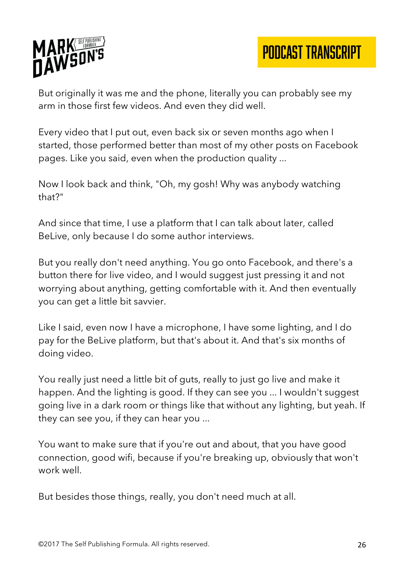

But originally it was me and the phone, literally you can probably see my arm in those first few videos. And even they did well.

Every video that I put out, even back six or seven months ago when I started, those performed better than most of my other posts on Facebook pages. Like you said, even when the production quality ...

Now I look back and think, "Oh, my gosh! Why was anybody watching that?"

And since that time, I use a platform that I can talk about later, called BeLive, only because I do some author interviews.

But you really don't need anything. You go onto Facebook, and there's a button there for live video, and I would suggest just pressing it and not worrying about anything, getting comfortable with it. And then eventually you can get a little bit savvier.

Like I said, even now I have a microphone, I have some lighting, and I do pay for the BeLive platform, but that's about it. And that's six months of doing video.

You really just need a little bit of guts, really to just go live and make it happen. And the lighting is good. If they can see you ... I wouldn't suggest going live in a dark room or things like that without any lighting, but yeah. If they can see you, if they can hear you ...

You want to make sure that if you're out and about, that you have good connection, good wifi, because if you're breaking up, obviously that won't work well.

But besides those things, really, you don't need much at all.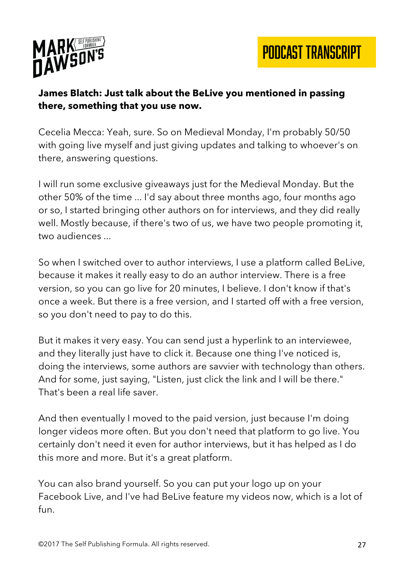

#### **James Blatch: Just talk about the BeLive you mentioned in passing there, something that you use now.**

Cecelia Mecca: Yeah, sure. So on Medieval Monday, I'm probably 50/50 with going live myself and just giving updates and talking to whoever's on there, answering questions.

I will run some exclusive giveaways just for the Medieval Monday. But the other 50% of the time ... I'd say about three months ago, four months ago or so, I started bringing other authors on for interviews, and they did really well. Mostly because, if there's two of us, we have two people promoting it, two audiences ...

So when I switched over to author interviews, I use a platform called BeLive, because it makes it really easy to do an author interview. There is a free version, so you can go live for 20 minutes, I believe. I don't know if that's once a week. But there is a free version, and I started off with a free version, so you don't need to pay to do this.

But it makes it very easy. You can send just a hyperlink to an interviewee, and they literally just have to click it. Because one thing I've noticed is, doing the interviews, some authors are savvier with technology than others. And for some, just saying, "Listen, just click the link and I will be there." That's been a real life saver.

And then eventually I moved to the paid version, just because I'm doing longer videos more often. But you don't need that platform to go live. You certainly don't need it even for author interviews, but it has helped as I do this more and more. But it's a great platform.

You can also brand yourself. So you can put your logo up on your Facebook Live, and I've had BeLive feature my videos now, which is a lot of fun.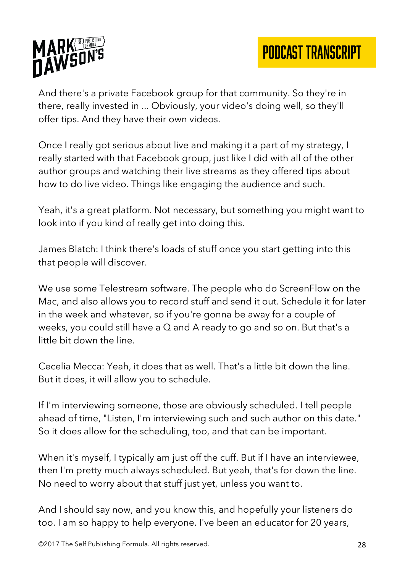

And there's a private Facebook group for that community. So they're in there, really invested in ... Obviously, your video's doing well, so they'll offer tips. And they have their own videos.

Once I really got serious about live and making it a part of my strategy, I really started with that Facebook group, just like I did with all of the other author groups and watching their live streams as they offered tips about how to do live video. Things like engaging the audience and such.

Yeah, it's a great platform. Not necessary, but something you might want to look into if you kind of really get into doing this.

James Blatch: I think there's loads of stuff once you start getting into this that people will discover.

We use some Telestream software. The people who do ScreenFlow on the Mac, and also allows you to record stuff and send it out. Schedule it for later in the week and whatever, so if you're gonna be away for a couple of weeks, you could still have a Q and A ready to go and so on. But that's a little bit down the line.

Cecelia Mecca: Yeah, it does that as well. That's a little bit down the line. But it does, it will allow you to schedule.

If I'm interviewing someone, those are obviously scheduled. I tell people ahead of time, "Listen, I'm interviewing such and such author on this date." So it does allow for the scheduling, too, and that can be important.

When it's myself, I typically am just off the cuff. But if I have an interviewee, then I'm pretty much always scheduled. But yeah, that's for down the line. No need to worry about that stuff just yet, unless you want to.

And I should say now, and you know this, and hopefully your listeners do too. I am so happy to help everyone. I've been an educator for 20 years,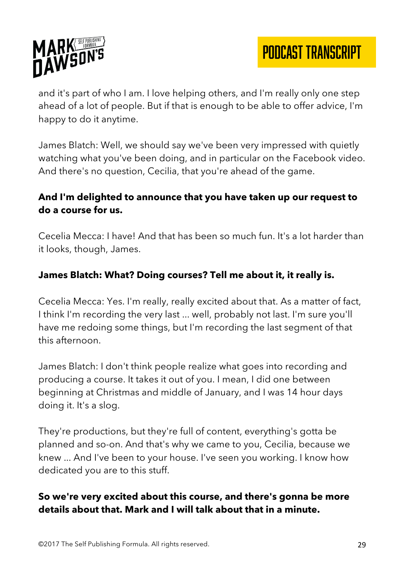

and it's part of who I am. I love helping others, and I'm really only one step ahead of a lot of people. But if that is enough to be able to offer advice, I'm happy to do it anytime.

James Blatch: Well, we should say we've been very impressed with quietly watching what you've been doing, and in particular on the Facebook video. And there's no question, Cecilia, that you're ahead of the game.

#### **And I'm delighted to announce that you have taken up our request to do a course for us.**

Cecelia Mecca: I have! And that has been so much fun. It's a lot harder than it looks, though, James.

### **James Blatch: What? Doing courses? Tell me about it, it really is.**

Cecelia Mecca: Yes. I'm really, really excited about that. As a matter of fact, I think I'm recording the very last ... well, probably not last. I'm sure you'll have me redoing some things, but I'm recording the last segment of that this afternoon.

James Blatch: I don't think people realize what goes into recording and producing a course. It takes it out of you. I mean, I did one between beginning at Christmas and middle of January, and I was 14 hour days doing it. It's a slog.

They're productions, but they're full of content, everything's gotta be planned and so-on. And that's why we came to you, Cecilia, because we knew ... And I've been to your house. I've seen you working. I know how dedicated you are to this stuff.

#### **So we're very excited about this course, and there's gonna be more details about that. Mark and I will talk about that in a minute.**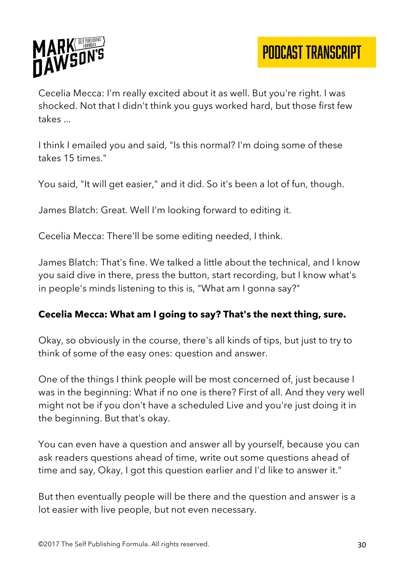

Cecelia Mecca: I'm really excited about it as well. But you're right. I was shocked. Not that I didn't think you guys worked hard, but those first few takes ...

I think I emailed you and said, "Is this normal? I'm doing some of these takes 15 times."

You said, "It will get easier," and it did. So it's been a lot of fun, though.

James Blatch: Great. Well I'm looking forward to editing it.

Cecelia Mecca: There'll be some editing needed, I think.

James Blatch: That's fine. We talked a little about the technical, and I know you said dive in there, press the button, start recording, but I know what's in people's minds listening to this is, "What am I gonna say?"

#### **Cecelia Mecca: What am I going to say? That's the next thing, sure.**

Okay, so obviously in the course, there's all kinds of tips, but just to try to think of some of the easy ones: question and answer.

One of the things I think people will be most concerned of, just because I was in the beginning: What if no one is there? First of all. And they very well might not be if you don't have a scheduled Live and you're just doing it in the beginning. But that's okay.

You can even have a question and answer all by yourself, because you can ask readers questions ahead of time, write out some questions ahead of time and say, Okay, I got this question earlier and I'd like to answer it."

But then eventually people will be there and the question and answer is a lot easier with live people, but not even necessary.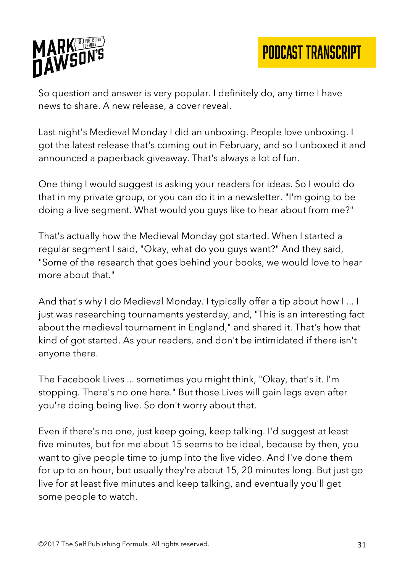

So question and answer is very popular. I definitely do, any time I have news to share. A new release, a cover reveal.

Last night's Medieval Monday I did an unboxing. People love unboxing. I got the latest release that's coming out in February, and so I unboxed it and announced a paperback giveaway. That's always a lot of fun.

One thing I would suggest is asking your readers for ideas. So I would do that in my private group, or you can do it in a newsletter. "I'm going to be doing a live segment. What would you guys like to hear about from me?"

That's actually how the Medieval Monday got started. When I started a regular segment I said, "Okay, what do you guys want?" And they said, "Some of the research that goes behind your books, we would love to hear more about that."

And that's why I do Medieval Monday. I typically offer a tip about how I ... I just was researching tournaments yesterday, and, "This is an interesting fact about the medieval tournament in England," and shared it. That's how that kind of got started. As your readers, and don't be intimidated if there isn't anyone there.

The Facebook Lives ... sometimes you might think, "Okay, that's it. I'm stopping. There's no one here." But those Lives will gain legs even after you're doing being live. So don't worry about that.

Even if there's no one, just keep going, keep talking. I'd suggest at least five minutes, but for me about 15 seems to be ideal, because by then, you want to give people time to jump into the live video. And I've done them for up to an hour, but usually they're about 15, 20 minutes long. But just go live for at least five minutes and keep talking, and eventually you'll get some people to watch.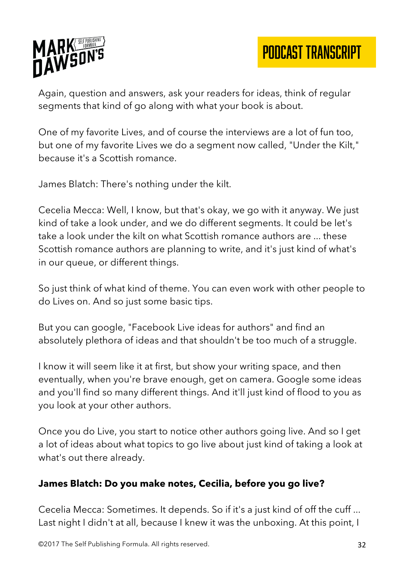

Again, question and answers, ask your readers for ideas, think of regular segments that kind of go along with what your book is about.

One of my favorite Lives, and of course the interviews are a lot of fun too, but one of my favorite Lives we do a segment now called, "Under the Kilt," because it's a Scottish romance.

James Blatch: There's nothing under the kilt.

Cecelia Mecca: Well, I know, but that's okay, we go with it anyway. We just kind of take a look under, and we do different segments. It could be let's take a look under the kilt on what Scottish romance authors are ... these Scottish romance authors are planning to write, and it's just kind of what's in our queue, or different things.

So just think of what kind of theme. You can even work with other people to do Lives on. And so just some basic tips.

But you can google, "Facebook Live ideas for authors" and find an absolutely plethora of ideas and that shouldn't be too much of a struggle.

I know it will seem like it at first, but show your writing space, and then eventually, when you're brave enough, get on camera. Google some ideas and you'll find so many different things. And it'll just kind of flood to you as you look at your other authors.

Once you do Live, you start to notice other authors going live. And so I get a lot of ideas about what topics to go live about just kind of taking a look at what's out there already.

#### **James Blatch: Do you make notes, Cecilia, before you go live?**

Cecelia Mecca: Sometimes. It depends. So if it's a just kind of off the cuff ... Last night I didn't at all, because I knew it was the unboxing. At this point, I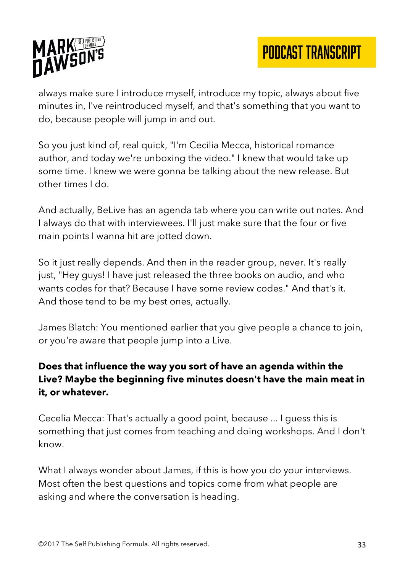



always make sure I introduce myself, introduce my topic, always about five minutes in, I've reintroduced myself, and that's something that you want to do, because people will jump in and out.

So you just kind of, real quick, "I'm Cecilia Mecca, historical romance author, and today we're unboxing the video." I knew that would take up some time. I knew we were gonna be talking about the new release. But other times I do.

And actually, BeLive has an agenda tab where you can write out notes. And I always do that with interviewees. I'll just make sure that the four or five main points I wanna hit are jotted down.

So it just really depends. And then in the reader group, never. It's really just, "Hey guys! I have just released the three books on audio, and who wants codes for that? Because I have some review codes." And that's it. And those tend to be my best ones, actually.

James Blatch: You mentioned earlier that you give people a chance to join, or you're aware that people jump into a Live.

## **Does that influence the way you sort of have an agenda within the Live? Maybe the beginning five minutes doesn't have the main meat in it, or whatever.**

Cecelia Mecca: That's actually a good point, because ... I guess this is something that just comes from teaching and doing workshops. And I don't know.

What I always wonder about James, if this is how you do your interviews. Most often the best questions and topics come from what people are asking and where the conversation is heading.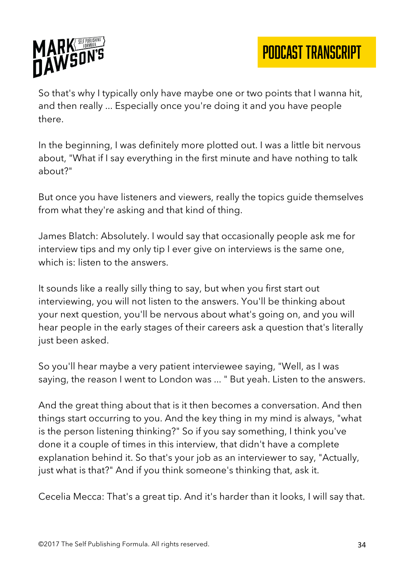

So that's why I typically only have maybe one or two points that I wanna hit, and then really ... Especially once you're doing it and you have people there.

In the beginning, I was definitely more plotted out. I was a little bit nervous about, "What if I say everything in the first minute and have nothing to talk about?"

But once you have listeners and viewers, really the topics guide themselves from what they're asking and that kind of thing.

James Blatch: Absolutely. I would say that occasionally people ask me for interview tips and my only tip I ever give on interviews is the same one, which is: listen to the answers.

It sounds like a really silly thing to say, but when you first start out interviewing, you will not listen to the answers. You'll be thinking about your next question, you'll be nervous about what's going on, and you will hear people in the early stages of their careers ask a question that's literally just been asked.

So you'll hear maybe a very patient interviewee saying, "Well, as I was saying, the reason I went to London was ... " But yeah. Listen to the answers.

And the great thing about that is it then becomes a conversation. And then things start occurring to you. And the key thing in my mind is always, "what is the person listening thinking?" So if you say something, I think you've done it a couple of times in this interview, that didn't have a complete explanation behind it. So that's your job as an interviewer to say, "Actually, just what is that?" And if you think someone's thinking that, ask it.

Cecelia Mecca: That's a great tip. And it's harder than it looks, I will say that.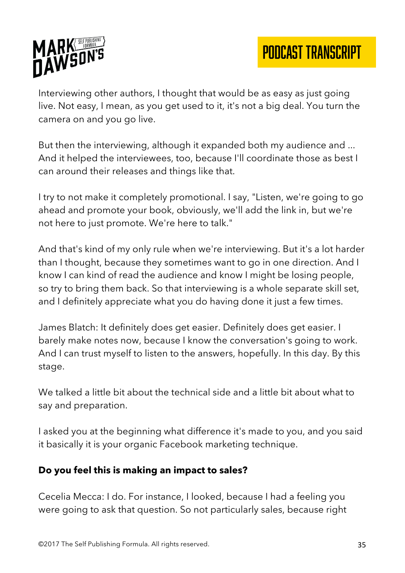

Interviewing other authors, I thought that would be as easy as just going live. Not easy, I mean, as you get used to it, it's not a big deal. You turn the camera on and you go live.

But then the interviewing, although it expanded both my audience and ... And it helped the interviewees, too, because I'll coordinate those as best I can around their releases and things like that.

I try to not make it completely promotional. I say, "Listen, we're going to go ahead and promote your book, obviously, we'll add the link in, but we're not here to just promote. We're here to talk."

And that's kind of my only rule when we're interviewing. But it's a lot harder than I thought, because they sometimes want to go in one direction. And I know I can kind of read the audience and know I might be losing people, so try to bring them back. So that interviewing is a whole separate skill set, and I definitely appreciate what you do having done it just a few times.

James Blatch: It definitely does get easier. Definitely does get easier. I barely make notes now, because I know the conversation's going to work. And I can trust myself to listen to the answers, hopefully. In this day. By this stage.

We talked a little bit about the technical side and a little bit about what to say and preparation.

I asked you at the beginning what difference it's made to you, and you said it basically it is your organic Facebook marketing technique.

#### **Do you feel this is making an impact to sales?**

Cecelia Mecca: I do. For instance, I looked, because I had a feeling you were going to ask that question. So not particularly sales, because right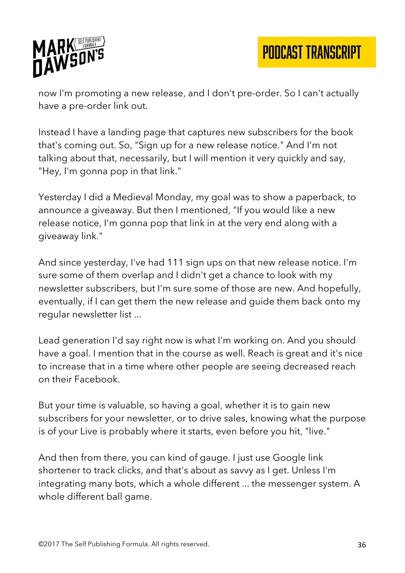

now I'm promoting a new release, and I don't pre-order. So I can't actually have a pre-order link out.

Instead I have a landing page that captures new subscribers for the book that's coming out. So, "Sign up for a new release notice." And I'm not talking about that, necessarily, but I will mention it very quickly and say, "Hey, I'm gonna pop in that link."

Yesterday I did a Medieval Monday, my goal was to show a paperback, to announce a giveaway. But then I mentioned, "If you would like a new release notice, I'm gonna pop that link in at the very end along with a giveaway link."

And since yesterday, I've had 111 sign ups on that new release notice. I'm sure some of them overlap and I didn't get a chance to look with my newsletter subscribers, but I'm sure some of those are new. And hopefully, eventually, if I can get them the new release and guide them back onto my regular newsletter list ...

Lead generation I'd say right now is what I'm working on. And you should have a goal. I mention that in the course as well. Reach is great and it's nice to increase that in a time where other people are seeing decreased reach on their Facebook.

But your time is valuable, so having a goal, whether it is to gain new subscribers for your newsletter, or to drive sales, knowing what the purpose is of your Live is probably where it starts, even before you hit, "live."

And then from there, you can kind of gauge. I just use Google link shortener to track clicks, and that's about as savvy as I get. Unless I'm integrating many bots, which a whole different ... the messenger system. A whole different ball game.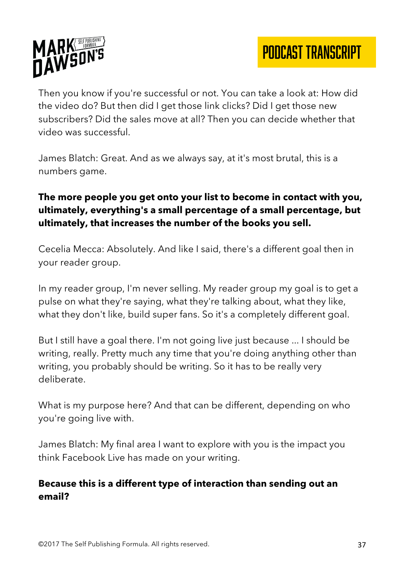

Then you know if you're successful or not. You can take a look at: How did the video do? But then did I get those link clicks? Did I get those new subscribers? Did the sales move at all? Then you can decide whether that video was successful.

James Blatch: Great. And as we always say, at it's most brutal, this is a numbers game.

## **The more people you get onto your list to become in contact with you, ultimately, everything's a small percentage of a small percentage, but ultimately, that increases the number of the books you sell.**

Cecelia Mecca: Absolutely. And like I said, there's a different goal then in your reader group.

In my reader group, I'm never selling. My reader group my goal is to get a pulse on what they're saying, what they're talking about, what they like, what they don't like, build super fans. So it's a completely different goal.

But I still have a goal there. I'm not going live just because ... I should be writing, really. Pretty much any time that you're doing anything other than writing, you probably should be writing. So it has to be really very deliberate.

What is my purpose here? And that can be different, depending on who you're going live with.

James Blatch: My final area I want to explore with you is the impact you think Facebook Live has made on your writing.

#### **Because this is a different type of interaction than sending out an email?**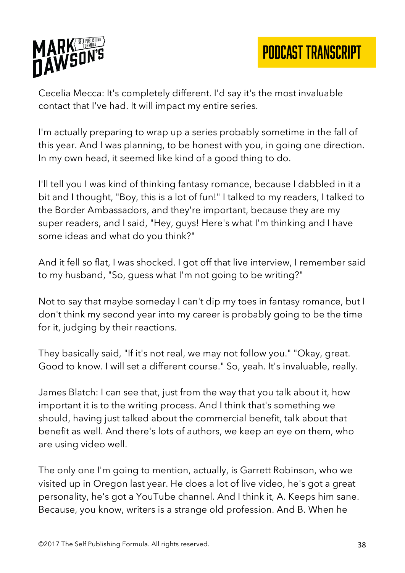



Cecelia Mecca: It's completely different. I'd say it's the most invaluable contact that I've had. It will impact my entire series.

I'm actually preparing to wrap up a series probably sometime in the fall of this year. And I was planning, to be honest with you, in going one direction. In my own head, it seemed like kind of a good thing to do.

I'll tell you I was kind of thinking fantasy romance, because I dabbled in it a bit and I thought, "Boy, this is a lot of fun!" I talked to my readers, I talked to the Border Ambassadors, and they're important, because they are my super readers, and I said, "Hey, guys! Here's what I'm thinking and I have some ideas and what do you think?"

And it fell so flat, I was shocked. I got off that live interview, I remember said to my husband, "So, guess what I'm not going to be writing?"

Not to say that maybe someday I can't dip my toes in fantasy romance, but I don't think my second year into my career is probably going to be the time for it, judging by their reactions.

They basically said, "If it's not real, we may not follow you." "Okay, great. Good to know. I will set a different course." So, yeah. It's invaluable, really.

James Blatch: I can see that, just from the way that you talk about it, how important it is to the writing process. And I think that's something we should, having just talked about the commercial benefit, talk about that benefit as well. And there's lots of authors, we keep an eye on them, who are using video well.

The only one I'm going to mention, actually, is Garrett Robinson, who we visited up in Oregon last year. He does a lot of live video, he's got a great personality, he's got a YouTube channel. And I think it, A. Keeps him sane. Because, you know, writers is a strange old profession. And B. When he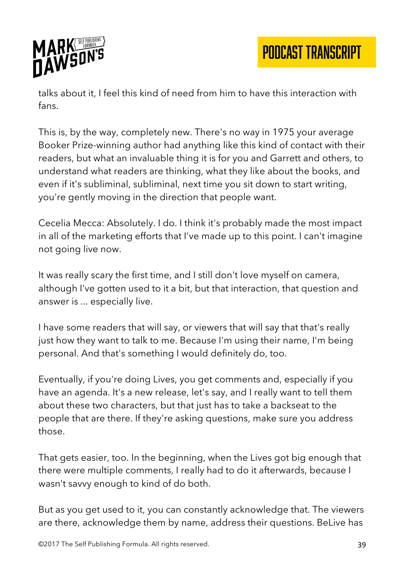

talks about it, I feel this kind of need from him to have this interaction with fans.

This is, by the way, completely new. There's no way in 1975 your average Booker Prize-winning author had anything like this kind of contact with their readers, but what an invaluable thing it is for you and Garrett and others, to understand what readers are thinking, what they like about the books, and even if it's subliminal, subliminal, next time you sit down to start writing, you're gently moving in the direction that people want.

Cecelia Mecca: Absolutely. I do. I think it's probably made the most impact in all of the marketing efforts that I've made up to this point. I can't imagine not going live now.

It was really scary the first time, and I still don't love myself on camera, although I've gotten used to it a bit, but that interaction, that question and answer is ... especially live.

I have some readers that will say, or viewers that will say that that's really just how they want to talk to me. Because I'm using their name, I'm being personal. And that's something I would definitely do, too.

Eventually, if you're doing Lives, you get comments and, especially if you have an agenda. It's a new release, let's say, and I really want to tell them about these two characters, but that just has to take a backseat to the people that are there. If they're asking questions, make sure you address those.

That gets easier, too. In the beginning, when the Lives got big enough that there were multiple comments, I really had to do it afterwards, because I wasn't savvy enough to kind of do both.

But as you get used to it, you can constantly acknowledge that. The viewers are there, acknowledge them by name, address their questions. BeLive has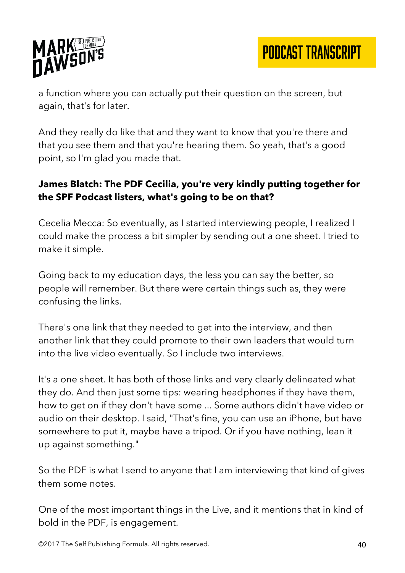

PODCAST TRANSCRIPT

a function where you can actually put their question on the screen, but again, that's for later.

And they really do like that and they want to know that you're there and that you see them and that you're hearing them. So yeah, that's a good point, so I'm glad you made that.

### **James Blatch: The PDF Cecilia, you're very kindly putting together for the SPF Podcast listers, what's going to be on that?**

Cecelia Mecca: So eventually, as I started interviewing people, I realized I could make the process a bit simpler by sending out a one sheet. I tried to make it simple.

Going back to my education days, the less you can say the better, so people will remember. But there were certain things such as, they were confusing the links.

There's one link that they needed to get into the interview, and then another link that they could promote to their own leaders that would turn into the live video eventually. So I include two interviews.

It's a one sheet. It has both of those links and very clearly delineated what they do. And then just some tips: wearing headphones if they have them, how to get on if they don't have some ... Some authors didn't have video or audio on their desktop. I said, "That's fine, you can use an iPhone, but have somewhere to put it, maybe have a tripod. Or if you have nothing, lean it up against something."

So the PDF is what I send to anyone that I am interviewing that kind of gives them some notes.

One of the most important things in the Live, and it mentions that in kind of bold in the PDF, is engagement.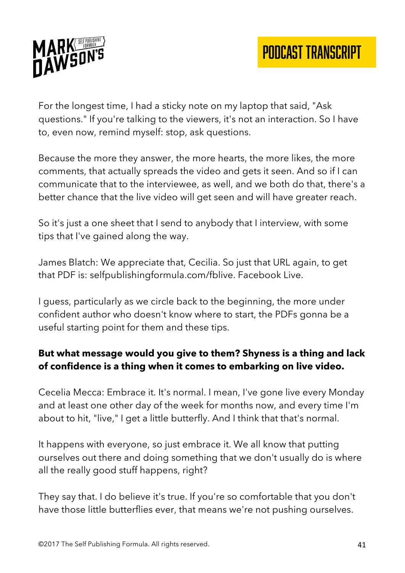

For the longest time, I had a sticky note on my laptop that said, "Ask questions." If you're talking to the viewers, it's not an interaction. So I have to, even now, remind myself: stop, ask questions.

Because the more they answer, the more hearts, the more likes, the more comments, that actually spreads the video and gets it seen. And so if I can communicate that to the interviewee, as well, and we both do that, there's a better chance that the live video will get seen and will have greater reach.

So it's just a one sheet that I send to anybody that I interview, with some tips that I've gained along the way.

James Blatch: We appreciate that, Cecilia. So just that URL again, to get that PDF is: selfpublishingformula.com/fblive. Facebook Live.

I guess, particularly as we circle back to the beginning, the more under confident author who doesn't know where to start, the PDFs gonna be a useful starting point for them and these tips.

## **But what message would you give to them? Shyness is a thing and lack of confidence is a thing when it comes to embarking on live video.**

Cecelia Mecca: Embrace it. It's normal. I mean, I've gone live every Monday and at least one other day of the week for months now, and every time I'm about to hit, "live," I get a little butterfly. And I think that that's normal.

It happens with everyone, so just embrace it. We all know that putting ourselves out there and doing something that we don't usually do is where all the really good stuff happens, right?

They say that. I do believe it's true. If you're so comfortable that you don't have those little butterflies ever, that means we're not pushing ourselves.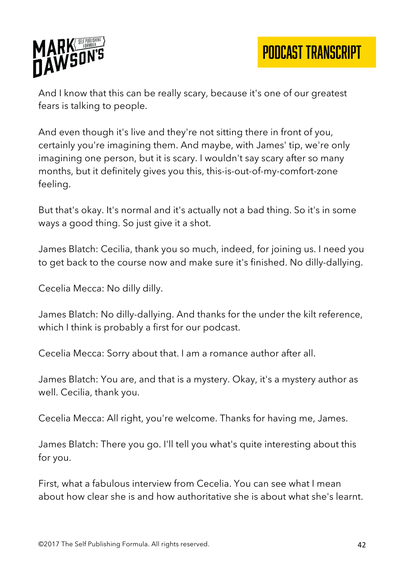

And I know that this can be really scary, because it's one of our greatest fears is talking to people.

And even though it's live and they're not sitting there in front of you, certainly you're imagining them. And maybe, with James' tip, we're only imagining one person, but it is scary. I wouldn't say scary after so many months, but it definitely gives you this, this-is-out-of-my-comfort-zone feeling.

But that's okay. It's normal and it's actually not a bad thing. So it's in some ways a good thing. So just give it a shot.

James Blatch: Cecilia, thank you so much, indeed, for joining us. I need you to get back to the course now and make sure it's finished. No dilly-dallying.

Cecelia Mecca: No dilly dilly.

James Blatch: No dilly-dallying. And thanks for the under the kilt reference, which I think is probably a first for our podcast.

Cecelia Mecca: Sorry about that. I am a romance author after all.

James Blatch: You are, and that is a mystery. Okay, it's a mystery author as well. Cecilia, thank you.

Cecelia Mecca: All right, you're welcome. Thanks for having me, James.

James Blatch: There you go. I'll tell you what's quite interesting about this for you.

First, what a fabulous interview from Cecelia. You can see what I mean about how clear she is and how authoritative she is about what she's learnt.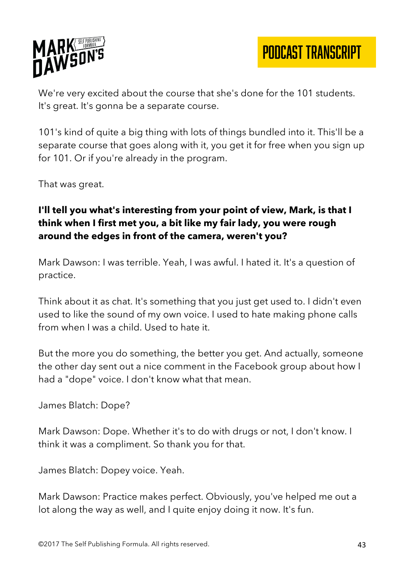

PODCAST TRANSCRIPT

We're very excited about the course that she's done for the 101 students. It's great. It's gonna be a separate course.

101's kind of quite a big thing with lots of things bundled into it. This'll be a separate course that goes along with it, you get it for free when you sign up for 101. Or if you're already in the program.

That was great.

## **I'll tell you what's interesting from your point of view, Mark, is that I think when I first met you, a bit like my fair lady, you were rough around the edges in front of the camera, weren't you?**

Mark Dawson: I was terrible. Yeah, I was awful. I hated it. It's a question of practice.

Think about it as chat. It's something that you just get used to. I didn't even used to like the sound of my own voice. I used to hate making phone calls from when I was a child. Used to hate it.

But the more you do something, the better you get. And actually, someone the other day sent out a nice comment in the Facebook group about how I had a "dope" voice. I don't know what that mean.

James Blatch: Dope?

Mark Dawson: Dope. Whether it's to do with drugs or not, I don't know. I think it was a compliment. So thank you for that.

James Blatch: Dopey voice. Yeah.

Mark Dawson: Practice makes perfect. Obviously, you've helped me out a lot along the way as well, and I quite enjoy doing it now. It's fun.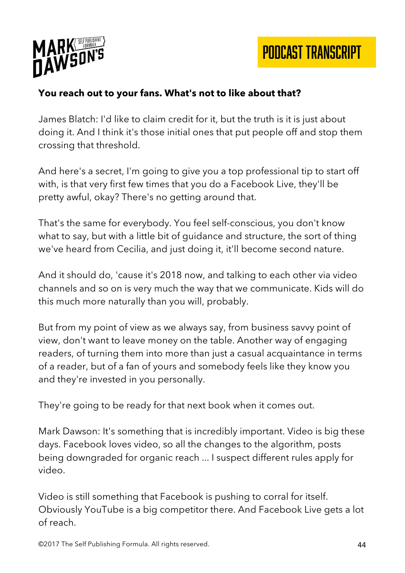

## **You reach out to your fans. What's not to like about that?**

James Blatch: I'd like to claim credit for it, but the truth is it is just about doing it. And I think it's those initial ones that put people off and stop them crossing that threshold.

And here's a secret, I'm going to give you a top professional tip to start off with, is that very first few times that you do a Facebook Live, they'll be pretty awful, okay? There's no getting around that.

That's the same for everybody. You feel self-conscious, you don't know what to say, but with a little bit of guidance and structure, the sort of thing we've heard from Cecilia, and just doing it, it'll become second nature.

And it should do, 'cause it's 2018 now, and talking to each other via video channels and so on is very much the way that we communicate. Kids will do this much more naturally than you will, probably.

But from my point of view as we always say, from business savvy point of view, don't want to leave money on the table. Another way of engaging readers, of turning them into more than just a casual acquaintance in terms of a reader, but of a fan of yours and somebody feels like they know you and they're invested in you personally.

They're going to be ready for that next book when it comes out.

Mark Dawson: It's something that is incredibly important. Video is big these days. Facebook loves video, so all the changes to the algorithm, posts being downgraded for organic reach ... I suspect different rules apply for video.

Video is still something that Facebook is pushing to corral for itself. Obviously YouTube is a big competitor there. And Facebook Live gets a lot of reach.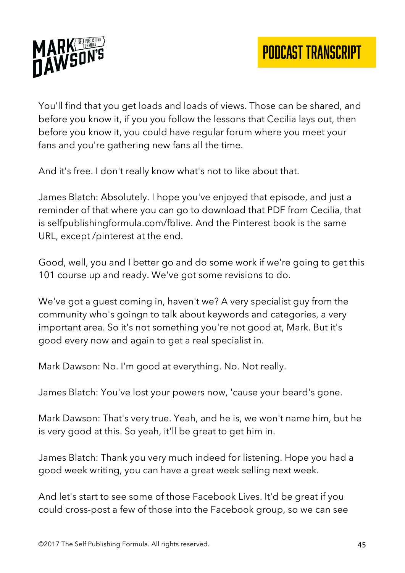

You'll find that you get loads and loads of views. Those can be shared, and before you know it, if you you follow the lessons that Cecilia lays out, then before you know it, you could have regular forum where you meet your fans and you're gathering new fans all the time.

And it's free. I don't really know what's not to like about that.

James Blatch: Absolutely. I hope you've enjoyed that episode, and just a reminder of that where you can go to download that PDF from Cecilia, that is selfpublishingformula.com/fblive. And the Pinterest book is the same URL, except /pinterest at the end.

Good, well, you and I better go and do some work if we're going to get this 101 course up and ready. We've got some revisions to do.

We've got a guest coming in, haven't we? A very specialist guy from the community who's goingn to talk about keywords and categories, a very important area. So it's not something you're not good at, Mark. But it's good every now and again to get a real specialist in.

Mark Dawson: No. I'm good at everything. No. Not really.

James Blatch: You've lost your powers now, 'cause your beard's gone.

Mark Dawson: That's very true. Yeah, and he is, we won't name him, but he is very good at this. So yeah, it'll be great to get him in.

James Blatch: Thank you very much indeed for listening. Hope you had a good week writing, you can have a great week selling next week.

And let's start to see some of those Facebook Lives. It'd be great if you could cross-post a few of those into the Facebook group, so we can see